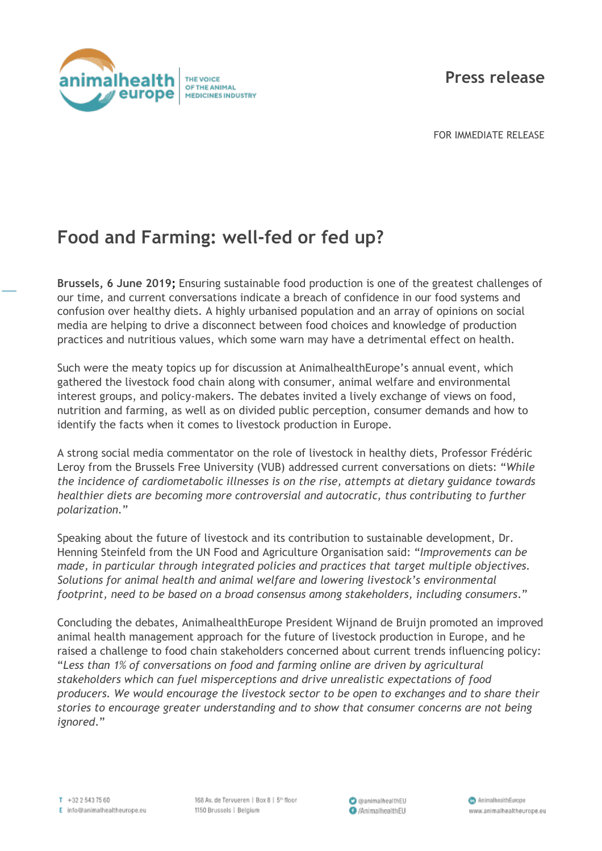

**Press release**

FOR IMMEDIATE RELEASE

## **Food and Farming: well-fed or fed up?**

**Brussels, 6 June 2019;** Ensuring sustainable food production is one of the greatest challenges of our time, and current conversations indicate a breach of confidence in our food systems and confusion over healthy diets. A highly urbanised population and an array of opinions on social media are helping to drive a disconnect between food choices and knowledge of production practices and nutritious values, which some warn may have a detrimental effect on health.

Such were the meaty topics up for discussion at AnimalhealthEurope's annual event, which gathered the livestock food chain along with consumer, animal welfare and environmental interest groups, and policy-makers. The debates invited a lively exchange of views on food, nutrition and farming, as well as on divided public perception, consumer demands and how to identify the facts when it comes to livestock production in Europe.

A strong social media commentator on the role of livestock in healthy diets, Professor Frédéric Leroy from the Brussels Free University (VUB) addressed current conversations on diets: "*While the incidence of cardiometabolic illnesses is on the rise, attempts at dietary guidance towards healthier diets are becoming more controversial and autocratic, thus contributing to further polarization.*"

Speaking about the future of livestock and its contribution to sustainable development, Dr. Henning Steinfeld from the UN Food and Agriculture Organisation said: "*Improvements can be made, in particular through integrated policies and practices that target multiple objectives. Solutions for animal health and animal welfare and lowering livestock's environmental footprint, need to be based on a broad consensus among stakeholders, including consumers*."

Concluding the debates, AnimalhealthEurope President Wijnand de Bruijn promoted an improved animal health management approach for the future of livestock production in Europe, and he raised a challenge to food chain stakeholders concerned about current trends influencing policy: "*Less than 1% of conversations on food and farming online are driven by agricultural stakeholders which can fuel misperceptions and drive unrealistic expectations of food producers. We would encourage the livestock sector to be open to exchanges and to share their stories to encourage greater understanding and to show that consumer concerns are not being ignored*."